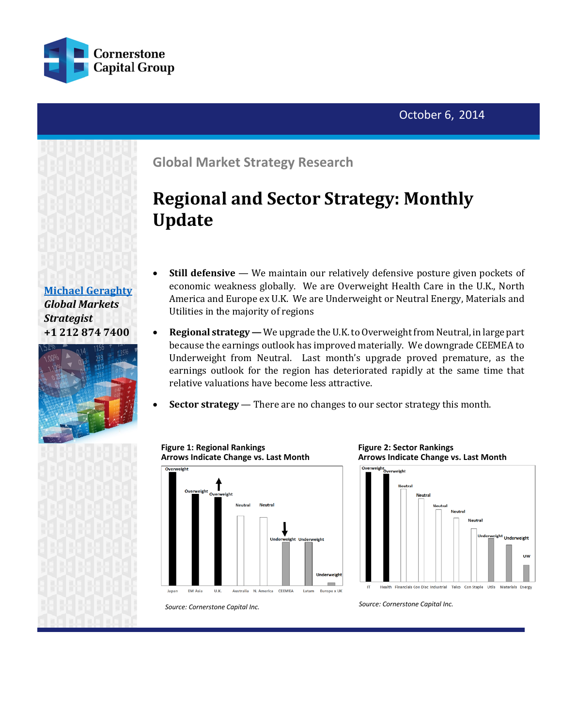



**[Michael Geraghty](mailto:michael.geraghty@cornerstonecapinc.com?subject=Information%20Request%20-%20Cornerstone%20Strategy%20Research%20)** *Global Markets Strategist* **+1 212 874 7400**



**Global Market Strategy Research**

# **Regional and Sector Strategy: Monthly Update**

- **Still defensive** We maintain our relatively defensive posture given pockets of economic weakness globally. We are Overweight Health Care in the U.K., North America and Europe ex U.K. We are Underweight or Neutral Energy, Materials and Utilities in the majority of regions
- **Regional strategy -** We upgrade the U.K. to Overweight from Neutral, in large part because the earnings outlook has improved materially. We downgrade CEEMEA to Underweight from Neutral. Last month's upgrade proved premature, as the earnings outlook for the region has deteriorated rapidly at the same time that relative valuations have become less attractive.
- **Sector strategy**  There are no changes to our sector strategy this month.







*Source: Cornerstone Capital Inc.*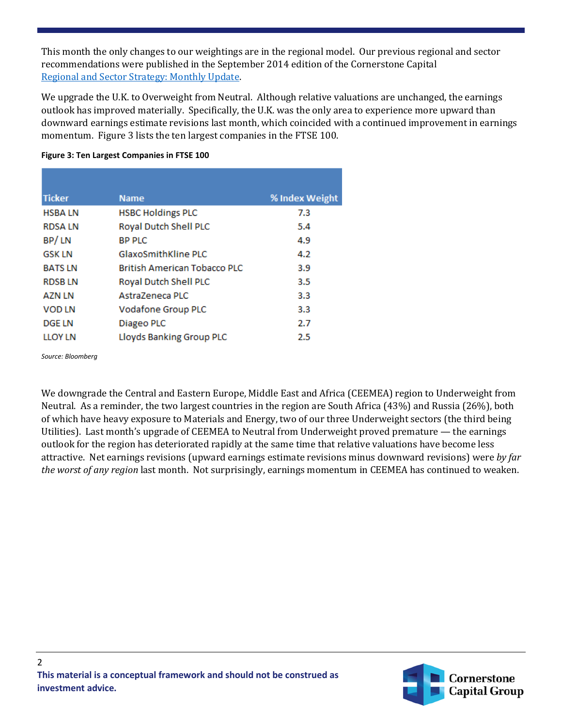This month the only changes to our weightings are in the regional model. Our previous regional and sector recommendations were published in the September 2014 edition of the Cornerstone Capital [Regional and Sector Strategy: Monthly Update.](http://cornerstonecapinc.com/?p=3770)

We upgrade the U.K. to Overweight from Neutral. Although relative valuations are unchanged, the earnings outlook has improved materially. Specifically, the U.K. was the only area to experience more upward than downward earnings estimate revisions last month, which coincided with a continued improvement in earnings momentum. Figure 3 lists the ten largest companies in the FTSE 100.

#### **Figure 3: Ten Largest Companies in FTSE 100**

| <b>Ticker</b>  | <b>Name</b>                         | % Index Weight |
|----------------|-------------------------------------|----------------|
| <b>HSBALN</b>  | <b>HSBC Holdings PLC</b>            | 7.3            |
| <b>RDSALN</b>  | Royal Dutch Shell PLC               | 5.4            |
| BP/LN          | <b>BP PLC</b>                       | 4.9            |
| <b>GSK LN</b>  | <b>GlaxoSmithKline PLC</b>          | 4.2            |
| <b>BATSLN</b>  | <b>British American Tobacco PLC</b> | 3.9            |
| <b>RDSBLN</b>  | Royal Dutch Shell PLC               | 3.5            |
| <b>AZN LN</b>  | AstraZeneca PLC                     | 3.3            |
| <b>VOD LN</b>  | <b>Vodafone Group PLC</b>           | 3.3            |
| <b>DGE LN</b>  | Diageo PLC                          | 2.7            |
| <b>LLOY LN</b> | Lloyds Banking Group PLC            | 2.5            |

*Source: Bloomberg*

We downgrade the Central and Eastern Europe, Middle East and Africa (CEEMEA) region to Underweight from Neutral. As a reminder, the two largest countries in the region are South Africa (43%) and Russia (26%), both of which have heavy exposure to Materials and Energy, two of our three Underweight sectors (the third being Utilities). Last month's upgrade of CEEMEA to Neutral from Underweight proved premature — the earnings outlook for the region has deteriorated rapidly at the same time that relative valuations have become less attractive. Net earnings revisions (upward earnings estimate revisions minus downward revisions) were *by far the worst of any region* last month. Not surprisingly, earnings momentum in CEEMEA has continued to weaken.

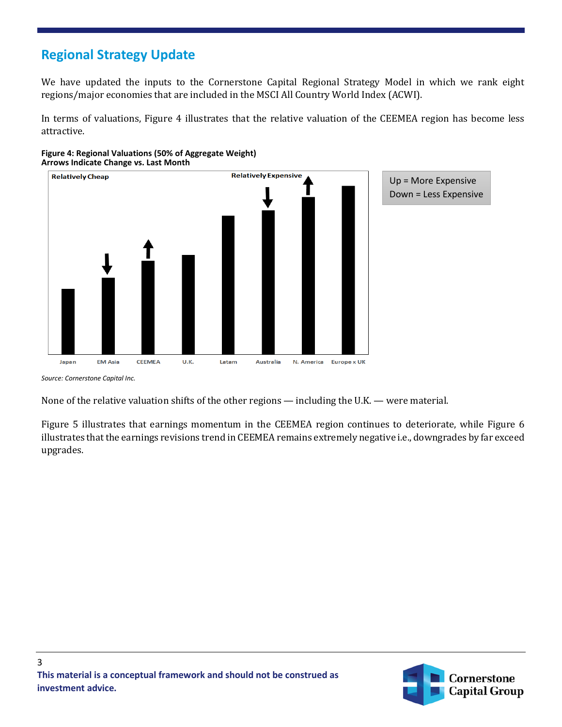## **Regional Strategy Update**

We have updated the inputs to the Cornerstone Capital Regional Strategy Model in which we rank eight regions/major economies that are included in the MSCI All Country World Index (ACWI).

In terms of valuations, Figure 4 illustrates that the relative valuation of the CEEMEA region has become less attractive.





*Source: Cornerstone Capital Inc.*

None of the relative valuation shifts of the other regions — including the U.K. — were material.

Figure 5 illustrates that earnings momentum in the CEEMEA region continues to deteriorate, while Figure 6 illustrates that the earnings revisions trend in CEEMEA remains extremely negative i.e., downgrades by far exceed upgrades.

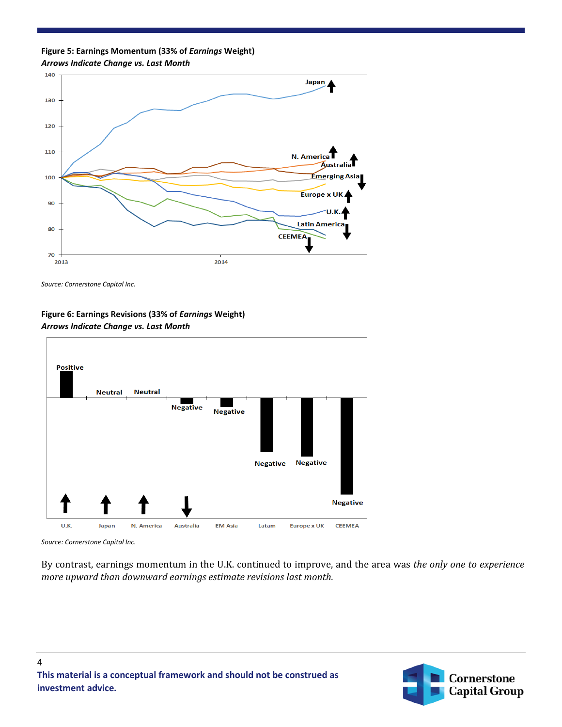**Figure 5: Earnings Momentum (33% of** *Earnings* **Weight)** *Arrows Indicate Change vs. Last Month*



*Source: Cornerstone Capital Inc.*

#### **Figure 6: Earnings Revisions (33% of** *Earnings* **Weight)** *Arrows Indicate Change vs. Last Month*



*Source: Cornerstone Capital Inc.*

4

By contrast, earnings momentum in the U.K. continued to improve, and the area was *the only one to experience more upward than downward earnings estimate revisions last month.*

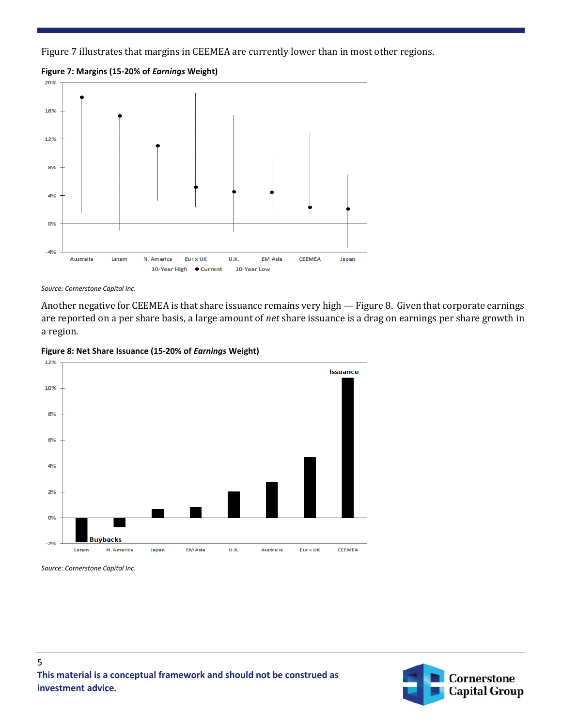Figure 7 illustrates that margins in CEEMEA are currently lower than in most other regions.

**Figure 7: Margins (15-20% of** *Earnings* **Weight)**



*Source: Cornerstone Capital Inc.*

Another negative for CEEMEA is that share issuance remains very high — Figure 8. Given that corporate earnings are reported on a per share basis, a large amount of *net* share issuance is a drag on earnings per share growth in a region.





*Source: Cornerstone Capital Inc.*

5



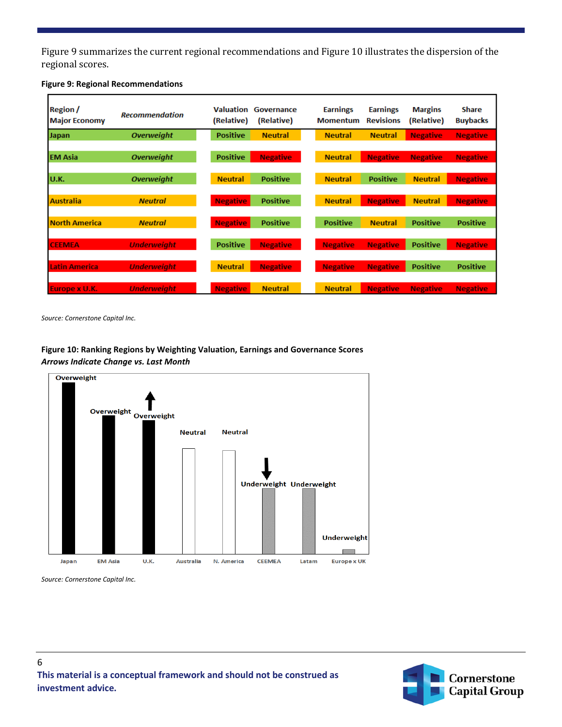Figure 9 summarizes the current regional recommendations and Figure 10 illustrates the dispersion of the regional scores.

| <b>Region</b> /<br><b>Major Economy</b> | <b>Recommendation</b> | Valuation<br>(Relative) | Governance<br>(Relative) | <b>Earnings</b><br><b>Momentum</b> | <b>Earnings</b><br><b>Revisions</b> | <b>Margins</b><br>(Relative) | <b>Share</b><br><b>Buybacks</b> |
|-----------------------------------------|-----------------------|-------------------------|--------------------------|------------------------------------|-------------------------------------|------------------------------|---------------------------------|
| <b>Japan</b>                            | <b>Overweight</b>     | <b>Positive</b>         | <b>Neutral</b>           | <b>Neutral</b>                     | <b>Neutral</b>                      | <b>Negative</b>              | <b>Negative</b>                 |
|                                         |                       |                         |                          |                                    |                                     |                              |                                 |
| <b>IEM Asia</b>                         | <b>Overweight</b>     | <b>Positive</b>         | <b>Negative</b>          | <b>Neutral</b>                     | <b>Negative</b>                     | <b>Negative</b>              | <b>Negative</b>                 |
|                                         |                       |                         |                          |                                    |                                     |                              |                                 |
| IU.K.                                   | <b>Overweight</b>     | <b>Neutral</b>          | <b>Positive</b>          | <b>Neutral</b>                     | <b>Positive</b>                     | <b>Neutral</b>               | <b>Negative</b>                 |
|                                         |                       |                         |                          |                                    |                                     |                              |                                 |
| <b>Australia</b>                        | <b>Neutral</b>        | <b>Negative</b>         | <b>Positive</b>          | <b>Neutral</b>                     | <b>Negative</b>                     | <b>Neutral</b>               | <b>Negative</b>                 |
|                                         |                       |                         |                          |                                    |                                     |                              |                                 |
| North America                           | <b>Neutral</b>        | <b>Negative</b>         | <b>Positive</b>          | <b>Positive</b>                    | <b>Neutral</b>                      | <b>Positive</b>              | <b>Positive</b>                 |
|                                         |                       |                         |                          |                                    |                                     |                              |                                 |
| <b>CEEMEA</b>                           | <b>Underweight</b>    | <b>Positive</b>         | <b>Negative</b>          | <b>Negative</b>                    | <b>Negative</b>                     | <b>Positive</b>              | <b>Negative</b>                 |
|                                         |                       |                         |                          |                                    |                                     |                              |                                 |
| <b>Latin America</b>                    | <b>Underweight</b>    | <b>Neutral</b>          | <b>Negative</b>          | <b>Negative</b>                    | <b>Negative</b>                     | <b>Positive</b>              | <b>Positive</b>                 |
|                                         |                       |                         |                          |                                    |                                     |                              |                                 |
| Europe x U.K.                           | <b>Underweight</b>    | <b>Negative</b>         | <b>Neutral</b>           | <b>Neutral</b>                     | <b>Negative</b>                     | <b>Negative</b>              | <b>Negative</b>                 |

#### **Figure 9: Regional Recommendations**

*Source: Cornerstone Capital Inc.*

#### **Figure 10: Ranking Regions by Weighting Valuation, Earnings and Governance Scores** *Arrows Indicate Change vs. Last Month*





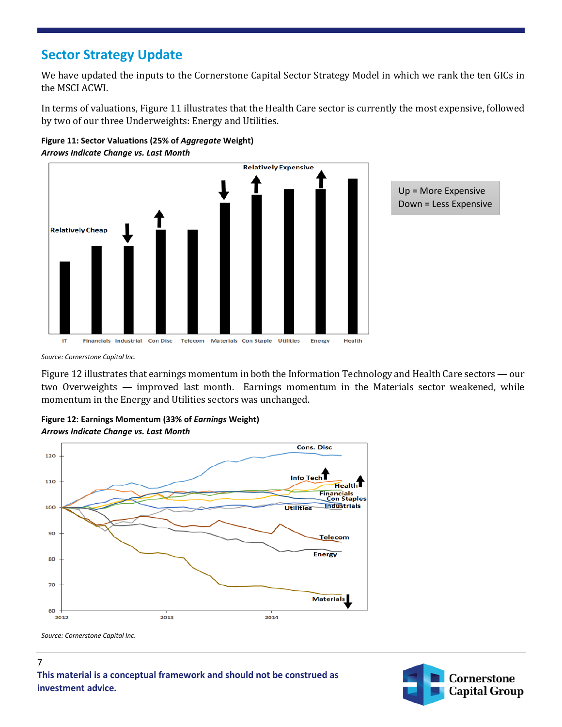#### **Sector Strategy Update**

We have updated the inputs to the Cornerstone Capital Sector Strategy Model in which we rank the ten GICs in the MSCI ACWI.

In terms of valuations, Figure 11 illustrates that the Health Care sector is currently the most expensive, followed by two of our three Underweights: Energy and Utilities.





*Source: Cornerstone Capital Inc.*

Figure 12 illustrates that earnings momentum in both the Information Technology and Health Care sectors — our two Overweights — improved last month. Earnings momentum in the Materials sector weakened, while momentum in the Energy and Utilities sectors was unchanged.

**Figure 12: Earnings Momentum (33% of** *Earnings* **Weight)** *Arrows Indicate Change vs. Last Month*



*Source: Cornerstone Capital Inc.*

7 **This material is a conceptual framework and should not be construed as investment advice.**

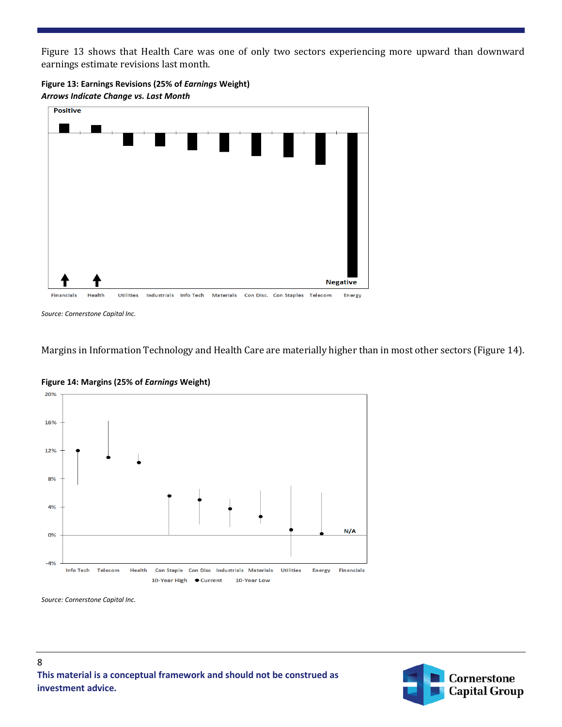Figure 13 shows that Health Care was one of only two sectors experiencing more upward than downward earnings estimate revisions last month.





*Source: Cornerstone Capital Inc.*

Margins in Information Technology and Health Care are materially higher than in most other sectors (Figure 14).



**Figure 14: Margins (25% of** *Earnings* **Weight)**

*Source: Cornerstone Capital Inc.*

8

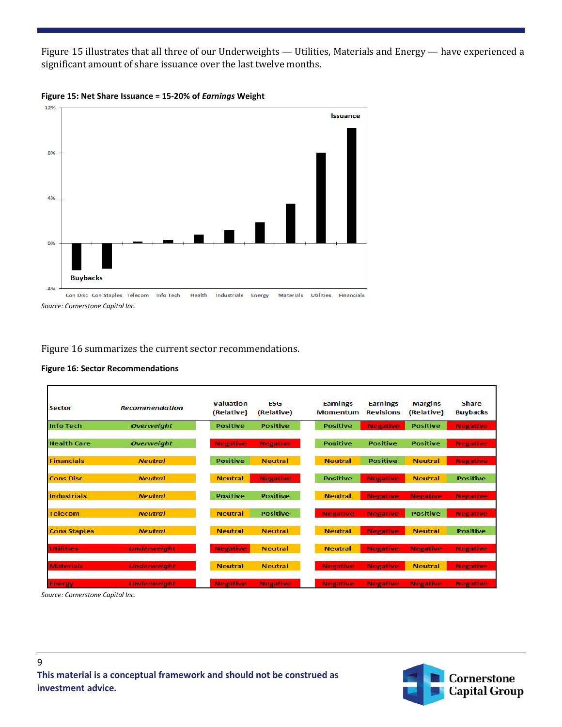Figure 15 illustrates that all three of our Underweights — Utilities, Materials and Energy — have experienced a significant amount of share issuance over the last twelve months.





Figure 16 summarizes the current sector recommendations.

| <b>Sector</b>       | <b>Recommendation</b> | <b>Valuation</b><br>(Relative) | <b>ESG</b><br>(Relative) | <b>Earnings</b><br><b>Momentum</b> | <b>Earnings</b><br><b>Revisions</b> | <b>Margins</b><br>(Relative) | <b>Share</b><br><b>Buybacks</b> |
|---------------------|-----------------------|--------------------------------|--------------------------|------------------------------------|-------------------------------------|------------------------------|---------------------------------|
| Info Tech           | <b>Overweight</b>     | <b>Positive</b>                | <b>Positive</b>          | <b>Positive</b>                    | <b>Negative</b>                     | <b>Positive</b>              | <b>Negative</b>                 |
| <b>Health Care</b>  | <b>Overweight</b>     | <b>Negative</b>                | <b>Negative</b>          | <b>Positive</b>                    | <b>Positive</b>                     | <b>Positive</b>              | <b>Negative</b>                 |
| <b>Financials</b>   | <b>Neutral</b>        | <b>Positive</b>                | <b>Neutral</b>           | <b>Neutral</b>                     | <b>Positive</b>                     | <b>Neutral</b>               | <b>Negative</b>                 |
| <b>Cons Disc</b>    | <b>Neutral</b>        | <b>Neutral</b>                 | <b>Negative</b>          | <b>Positive</b>                    | <b>Negative</b>                     | <b>Neutral</b>               | <b>Positive</b>                 |
| <b>Industrials</b>  | <b>Neutral</b>        | <b>Positive</b>                | <b>Positive</b>          | <b>Neutral</b>                     | <b>Negative</b>                     | <b>Negative</b>              | <b>Negative</b>                 |
| <b>Telecom</b>      | <b>Neutral</b>        | <b>Neutral</b>                 | <b>Positive</b>          | <b>Negative</b>                    | <b>Negative</b>                     | <b>Positive</b>              | <b>Negative</b>                 |
| <b>Cons Staples</b> | <b>Neutral</b>        | <b>Neutral</b>                 | <b>Neutral</b>           | <b>Neutral</b>                     | <b>Negative</b>                     | <b>Neutral</b>               | <b>Positive</b>                 |
| <b>Utilities</b>    | <b>Underweight</b>    | <b>Negative</b>                | <b>Neutral</b>           | <b>Neutral</b>                     | <b>Negative</b>                     | <b>Negative</b>              | <b>Negative</b>                 |
| <b>Materials</b>    | <b>Underweight</b>    | <b>Neutral</b>                 | <b>Neutral</b>           | <b>Negative</b>                    | <b>Negative</b>                     | <b>Neutral</b>               | <b>Negative</b>                 |
| <b>Energy</b>       | <b>Underweight</b>    | <b>Negative</b>                | <b>Negative</b>          | <b>Negative</b>                    | <b>Negative</b>                     | <b>Negative</b>              | <b>Negative</b>                 |

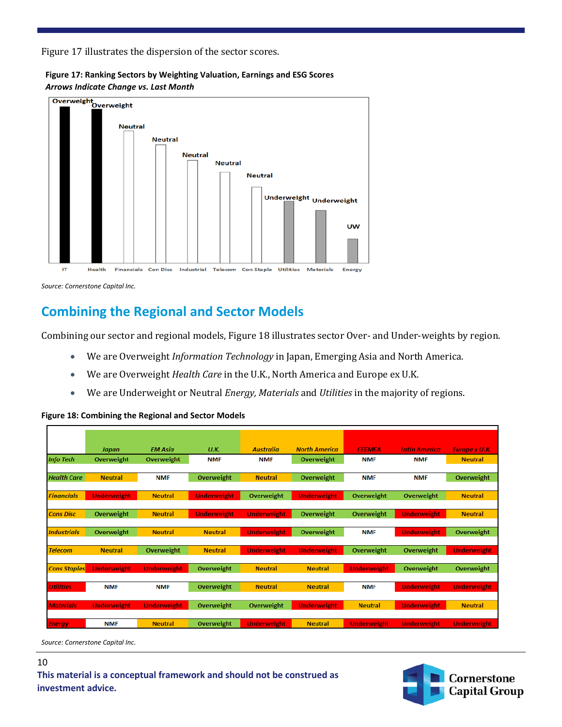Figure 17 illustrates the dispersion of the sector scores.

**Figure 17: Ranking Sectors by Weighting Valuation, Earnings and ESG Scores** *Arrows Indicate Change vs. Last Month*



*Source: Cornerstone Capital Inc.*

#### **Combining the Regional and Sector Models**

Combining our sector and regional models, Figure 18 illustrates sector Over- and Under-weights by region.

- We are Overweight *Information Technology* in Japan, Emerging Asia and North America.
- We are Overweight *Health Care* in the U.K., North America and Europe ex U.K.
- We are Underweight or Neutral *Energy, Materials* and *Utilities* in the majority of regions.

|                     | Japan              | <b>EM Asia</b>     | U.K.               | <b>Australia</b>   | <b>North America</b> | <b>CEEMEA</b>      | <b>Latin America</b> | <b>Europe x U.K.</b> |
|---------------------|--------------------|--------------------|--------------------|--------------------|----------------------|--------------------|----------------------|----------------------|
| <b>Info Tech</b>    | Overweight         | Overweight         | <b>NMF</b>         | <b>NMF</b>         | Overweight           | <b>NMF</b>         | <b>NMF</b>           | <b>Neutral</b>       |
|                     |                    |                    |                    |                    |                      |                    |                      |                      |
| <b>Health Care</b>  | <b>Neutral</b>     | <b>NMF</b>         | Overweight         | <b>Neutral</b>     | Overweight           | <b>NMF</b>         | <b>NMF</b>           | Overweight           |
|                     |                    |                    |                    |                    |                      |                    |                      |                      |
| <b>Financials</b>   | <b>Underweight</b> | <b>Neutral</b>     | <b>Underweight</b> | Overweight         | <b>Underweight</b>   | Overweight         | Overweight           | <b>Neutral</b>       |
| <b>Cons Disc</b>    | Overweight         | <b>Neutral</b>     | <b>Underweight</b> | <b>Underweight</b> | Overweight           | Overweight         | <b>Underweight</b>   | <b>Neutral</b>       |
|                     |                    |                    |                    |                    |                      |                    |                      |                      |
| <b>Industrials</b>  | Overweight         | <b>Neutral</b>     | <b>Neutral</b>     | <b>Underweight</b> | Overweight           | <b>NMF</b>         | <b>Underweight</b>   | Overweight           |
|                     |                    |                    |                    |                    |                      |                    |                      |                      |
| <b>Telecom</b>      | <b>Neutral</b>     | Overweight         | <b>Neutral</b>     | <b>Underweight</b> | <b>Underweight</b>   | Overweight         | Overweight           | <b>Underweight</b>   |
|                     |                    |                    |                    |                    |                      |                    |                      |                      |
| <b>Cons Staples</b> | Underweight        | <b>Underweight</b> | Overweight         | <b>Neutral</b>     | <b>Neutral</b>       | <b>Underweight</b> | Overweight           | Overweight           |
|                     |                    |                    |                    |                    |                      |                    |                      |                      |
| <b>Utilities</b>    | <b>NMF</b>         | <b>NMF</b>         | Overweight         | <b>Neutral</b>     | <b>Neutral</b>       | <b>NMF</b>         | <b>Underweight</b>   | <b>Underweight</b>   |
|                     |                    |                    |                    |                    |                      |                    |                      |                      |
| <b>Materials</b>    | <b>Underweight</b> | <b>Underweight</b> | Overweight         | Overweight         | Underweight          | <b>Neutral</b>     | <b>Underweight</b>   | <b>Neutral</b>       |
| <b>Energy</b>       | <b>NMF</b>         | <b>Neutral</b>     | Overweight         | <b>Underweight</b> | <b>Neutral</b>       | <b>Underweight</b> | <b>Underweight</b>   | <b>Underweight</b>   |
|                     |                    |                    |                    |                    |                      |                    |                      |                      |

#### **Figure 18: Combining the Regional and Sector Models**

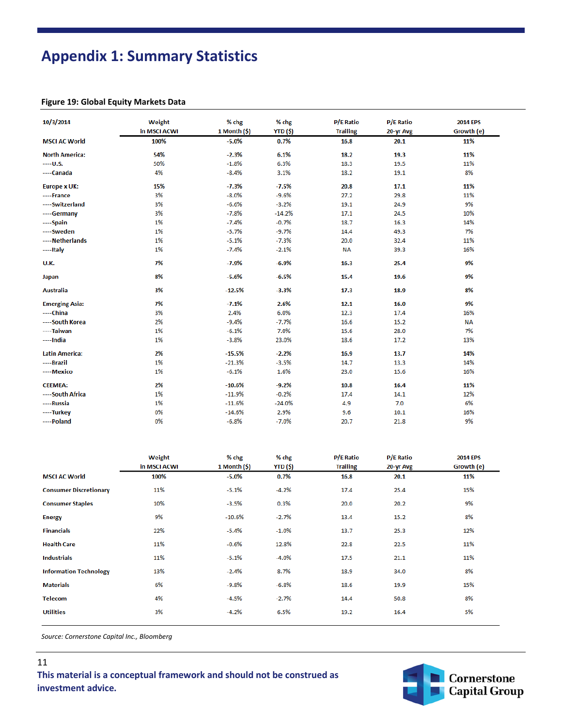# **Appendix 1: Summary Statistics**

#### **Figure 19: Global Equity Markets Data**

| 10/3/2014             | Weight<br>in MSCI ACWI | % chg<br>1 Month $(\hat{\mathsf{s}})$ | % chg<br><b>YTD (\$)</b> | <b>P/E Ratio</b><br><b>Trailing</b> | <b>P/E Ratio</b><br>20-yr Avg | <b>2014 EPS</b><br>Growth (e) |
|-----------------------|------------------------|---------------------------------------|--------------------------|-------------------------------------|-------------------------------|-------------------------------|
| <b>MSCI AC World</b>  | 100%                   | $-5.0%$                               | 0.7%                     | 16.8                                | 20.1                          | 11%                           |
| <b>North America:</b> | 54%                    | $-2.3%$                               | 6.1%                     | 18.2                                | 19.3                          | 11%                           |
| $---U.S.$             | 50%                    | $-1.8%$                               | 6.3%                     | 18.3                                | 19.5                          | 11%                           |
| ---Canada             | 4%                     | $-8.4%$                               | 3.1%                     | 18.2                                | 19.1                          | 8%                            |
| <b>Europe x UK:</b>   | 15%                    | $-7.3%$                               | $-7.5%$                  | 20.8                                | 17.1                          | 11%                           |
| ----France            | 3%                     | $-8.0%$                               | $-9.6%$                  | 27.2                                | 29.8                          | 11%                           |
| ----Switzerland       | 3%                     | $-6.6%$                               | $-3.2%$                  | 19.1                                | 24.9                          | 9%                            |
| ---Germany            | 3%                     | $-7.8%$                               | $-14.2%$                 | 17.1                                | 24.5                          | 10%                           |
| ----Spain             | 1%                     | $-7.4%$                               | $-0.7%$                  | 18.7                                | 16.3                          | 14%                           |
| ---Sweden             | 1%                     | $-5.7%$                               | $-9.7%$                  | 14.4                                | 49.3                          | 7%                            |
| ----Netherlands       | 1%                     | $-5.1%$                               | $-7.3%$                  | 20.0                                | 32.4                          | 11%                           |
| $---$ Italy           | 1%                     | $-7.4%$                               | $-2.1%$                  | <b>NA</b>                           | 39.3                          | 16%                           |
| U.K.                  | 7%                     | $-7.9%$                               | $-6.9%$                  | 16.3                                | 25.4                          | 9%                            |
| Japan                 | 8%                     | $-5.6%$                               | $-6.5%$                  | 15.4                                | 19.6                          | 9%                            |
| <b>Australia</b>      | 3%                     | $-12.5%$                              | $-3.3%$                  | 17.3                                | 18.9                          | 8%                            |
| <b>Emerging Asia:</b> | 7%                     | $-7.1%$                               | 2.6%                     | 12.1                                | 16.0                          | 9%                            |
| ----China             | 3%                     | 2.4%                                  | 6.0%                     | 12.3                                | 17.4                          | 16%                           |
| ----South Korea       | 2%                     | $-9.4%$                               | $-7.7%$                  | 16.6                                | 15.2                          | <b>NA</b>                     |
| ----Taiwan            | 1%                     | $-6.1%$                               | 7.0%                     | 15.6                                | 28.0                          | 7%                            |
| ----India             | 1%                     | $-3.8%$                               | 23.0%                    | 18.6                                | 17.2                          | 13%                           |
| <b>Latin America:</b> | 2%                     | $-15.5%$                              | $-2.2%$                  | 16.9                                | 13.7                          | 14%                           |
| ----Brazil            | 1%                     | $-21.3%$                              | $-3.5%$                  | 14.7                                | 13.3                          | 14%                           |
| ----Mexico            | 1%                     | $-6.1%$                               | 1.6%                     | 23.0                                | 15.6                          | 16%                           |
| <b>CEEMEA:</b>        | 2%                     | $-10.6%$                              | $-9.2%$                  | 10.8                                | 16.4                          | 11%                           |
| ----South Africa      | 1%                     | $-11.9%$                              | $-0.2%$                  | 17.4                                | 14.1                          | 12%                           |
| ----Russia            | 1%                     | $-11.6%$                              | $-24.0%$                 | 4.9                                 | 7.0                           | 6%                            |
| ----Turkey            | 0%                     | $-14.6%$                              | 2.9%                     | 9.6                                 | 10.1                          | 16%                           |
| ---- Poland           | 0%                     | $-6.8%$                               | $-7.0%$                  | 20.7                                | 21.8                          | 9%                            |

|                               | Weight       | % chg                        | % chg    | <b>P/E Ratio</b> | <b>P/E Ratio</b> | <b>2014 EPS</b> |
|-------------------------------|--------------|------------------------------|----------|------------------|------------------|-----------------|
|                               | in MSCI ACWI | 1 Month $(\hat{\mathsf{s}})$ | YTD (\$) | <b>Trailing</b>  | 20-yr Avg        | Growth (e)      |
| <b>MSCI AC World</b>          | 100%         | $-5.0%$                      | 0.7%     | 16.8             | 20.1             | 11%             |
| <b>Consumer Discretionary</b> | 11%          | $-5.1%$                      | $-4.2%$  | 17.4             | 25.4             | 15%             |
| <b>Consumer Staples</b>       | 10%          | $-3.5%$                      | 0.3%     | 20.0             | 20.2             | 9%              |
| <b>Energy</b>                 | 9%           | $-10.6%$                     | $-2.7%$  | 13.4             | 15.2             | 8%              |
| <b>Financials</b>             | 22%          | $-5.4%$                      | $-1.0%$  | 13.7             | 25.3             | 12%             |
| <b>Health Care</b>            | 11%          | $-0.6%$                      | 12.8%    | 22.8             | 22.5             | 11%             |
| <b>Industrials</b>            | 11%          | $-5.1%$                      | $-4.0%$  | 17.5             | 21.1             | 11%             |
| <b>Information Technology</b> | 13%          | $-2.4%$                      | 8.7%     | 18.9             | 34.0             | 8%              |
| <b>Materials</b>              | 6%           | $-9.8%$                      | $-6.8%$  | 18.6             | 19.9             | 15%             |
| <b>Telecom</b>                | 4%           | $-4.5%$                      | $-2.7%$  | 14.4             | 50.8             | 8%              |
| <b>Utilities</b>              | 3%           | $-4.2%$                      | 6.5%     | 19.2             | 16.4             | 5%              |

*Source: Cornerstone Capital Inc., Bloomberg*

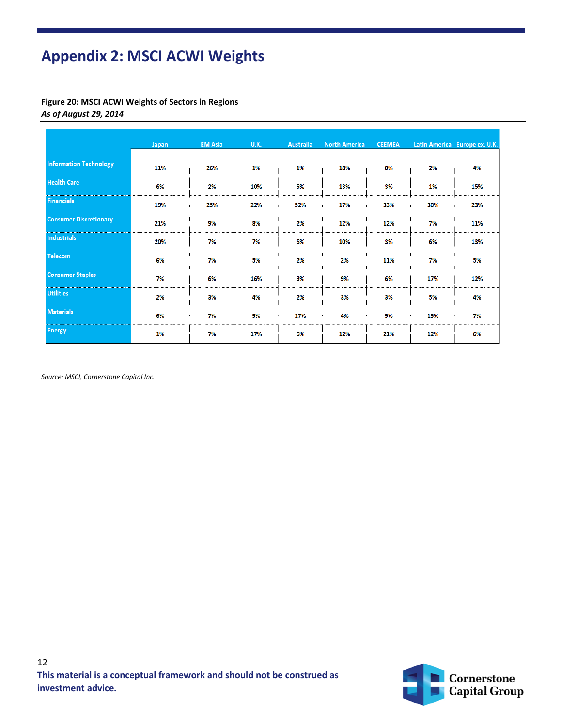# **Appendix 2: MSCI ACWI Weights**

**Figure 20: MSCI ACWI Weights of Sectors in Regions** *As of August 29, 2014*

|                               | Japan | <b>EM Asia</b> | U.K. | <b>Australia</b> | <b>North America</b> | <b>CEEMEA</b> |     | Latin America Europe ex. U.K. |
|-------------------------------|-------|----------------|------|------------------|----------------------|---------------|-----|-------------------------------|
|                               |       |                |      |                  |                      |               |     |                               |
| <b>Information Technology</b> | 11%   | 26%            | 1%   | 1%               | 18%                  | 0%            | 2%  | 4%                            |
| <b>Health Care</b>            | 6%    | 2%             | 10%  | 5%               | 13%                  | 3%            | 1%  | 15%                           |
| <b>Financials</b>             | 19%   | 25%            | 22%  | 52%              | 17%                  | 33%           | 30% | 23%                           |
| <b>Consumer Discretionary</b> | 21%   | 9%             | 8%   | 2%               | 12%                  | 12%           | 7%  | 11%                           |
| Industrials                   | 20%   | 7%             | 7%   | 6%               | 10%                  | 3%            | 6%  | 13%                           |
| Telecom                       | 6%    | 7%             | 5%   | 2%               | 2%                   | 11%           | 7%  | 5%                            |
| <b>Consumer Staples</b>       | 7%    | 6%             | 16%  | 9%               | 9%                   | 6%            | 17% | 12%                           |
| <b>Utilities</b>              | 2%    | 3%             | 4%   | 2%               | 3%                   | 3%            | 5%  | 4%                            |
| <b>Materials</b>              | 6%    | 7%             | 9%   | 17%              | 4%                   | 9%            | 15% | 7%                            |
| <b>Energy</b>                 | 1%    | 7%             | 17%  | 6%               | 12%                  | 21%           | 12% | 6%                            |

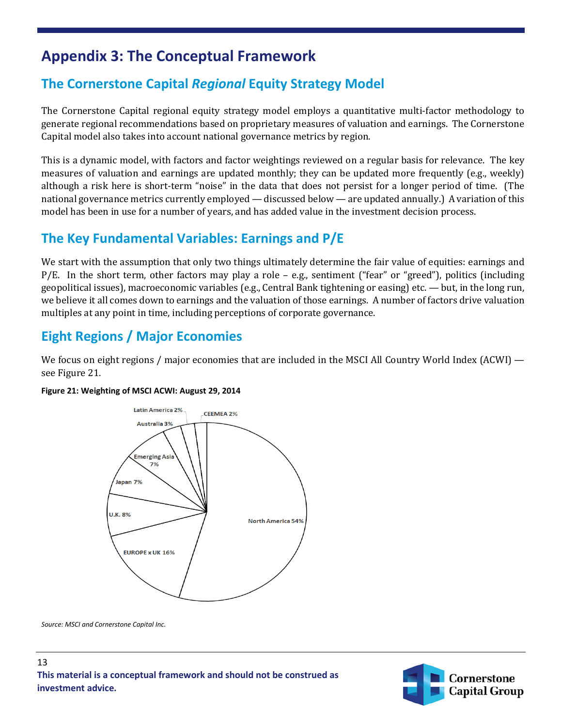## **Appendix 3: The Conceptual Framework**

## **The Cornerstone Capital** *Regional* **Equity Strategy Model**

The Cornerstone Capital regional equity strategy model employs a quantitative multi-factor methodology to generate regional recommendations based on proprietary measures of valuation and earnings. The Cornerstone Capital model also takes into account national governance metrics by region.

This is a dynamic model, with factors and factor weightings reviewed on a regular basis for relevance. The key measures of valuation and earnings are updated monthly; they can be updated more frequently (e.g., weekly) although a risk here is short-term "noise" in the data that does not persist for a longer period of time. (The national governance metrics currently employed — discussed below — are updated annually.) A variation of this model has been in use for a number of years, and has added value in the investment decision process.

#### **The Key Fundamental Variables: Earnings and P/E**

We start with the assumption that only two things ultimately determine the fair value of equities: earnings and P/E. In the short term, other factors may play a role – e.g., sentiment ("fear" or "greed"), politics (including geopolitical issues), macroeconomic variables (e.g., Central Bank tightening or easing) etc. — but, in the long run, we believe it all comes down to earnings and the valuation of those earnings. A number of factors drive valuation multiples at any point in time, including perceptions of corporate governance.

## **Eight Regions / Major Economies**

We focus on eight regions / major economies that are included in the MSCI All Country World Index (ACWI) see Figure 21.

#### **Figure 21: Weighting of MSCI ACWI: August 29, 2014**



*Source: MSCI and Cornerstone Capital Inc.*

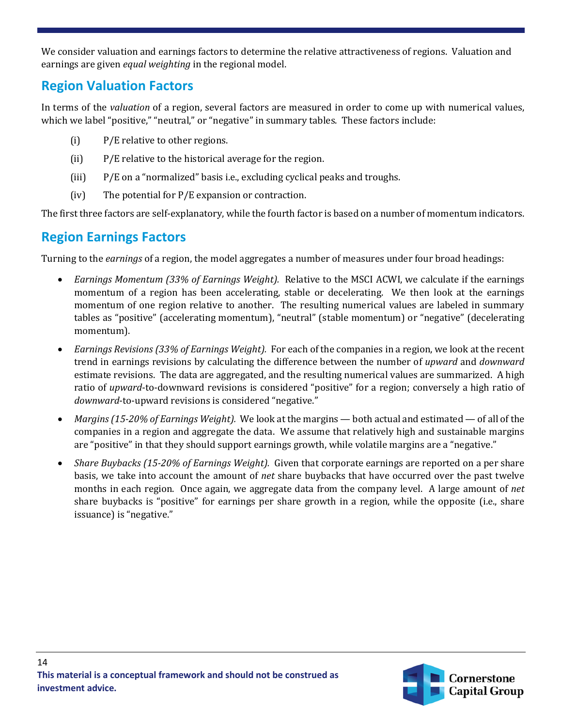We consider valuation and earnings factors to determine the relative attractiveness of regions. Valuation and earnings are given *equal weighting* in the regional model.

#### **Region Valuation Factors**

In terms of the *valuation* of a region, several factors are measured in order to come up with numerical values, which we label "positive," "neutral," or "negative" in summary tables. These factors include:

- (i) P/E relative to other regions.
- (ii) P/E relative to the historical average for the region.
- (iii) P/E on a "normalized" basis i.e., excluding cyclical peaks and troughs.
- (iv) The potential for P/E expansion or contraction.

The first three factors are self-explanatory, while the fourth factor is based on a number of momentum indicators.

#### **Region Earnings Factors**

Turning to the *earnings* of a region, the model aggregates a number of measures under four broad headings:

- *Earnings Momentum (33% of Earnings Weight).* Relative to the MSCI ACWI, we calculate if the earnings momentum of a region has been accelerating, stable or decelerating. We then look at the earnings momentum of one region relative to another. The resulting numerical values are labeled in summary tables as "positive" (accelerating momentum), "neutral" (stable momentum) or "negative" (decelerating momentum).
- *Earnings Revisions (33% of Earnings Weight).* For each of the companies in a region, we look at the recent trend in earnings revisions by calculating the difference between the number of *upward* and *downward* estimate revisions. The data are aggregated, and the resulting numerical values are summarized. A high ratio of *upward*-to-downward revisions is considered "positive" for a region; conversely a high ratio of *downward*-to-upward revisions is considered "negative."
- *Margins (15-20% of Earnings Weight).* We look at the margins both actual and estimated of all of the companies in a region and aggregate the data. We assume that relatively high and sustainable margins are "positive" in that they should support earnings growth, while volatile margins are a "negative."
- *Share Buybacks (15-20% of Earnings Weight).* Given that corporate earnings are reported on a per share basis, we take into account the amount of *net* share buybacks that have occurred over the past twelve months in each region. Once again, we aggregate data from the company level. A large amount of *net* share buybacks is "positive" for earnings per share growth in a region, while the opposite (i.e., share issuance) is "negative."

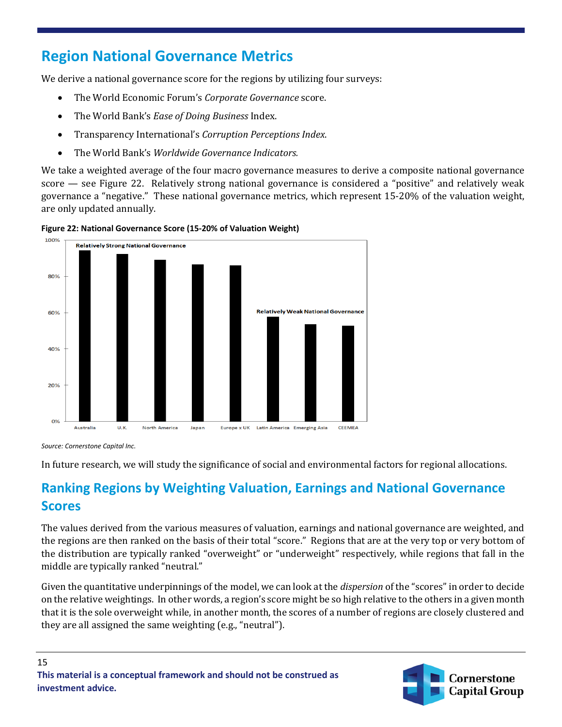## **Region National Governance Metrics**

We derive a national governance score for the regions by utilizing four surveys:

- The World Economic Forum's *Corporate Governance* score.
- The World Bank's *Ease of Doing Business* Index.
- Transparency International's *Corruption Perceptions Index*.
- The World Bank's *Worldwide Governance Indicators.*

We take a weighted average of the four macro governance measures to derive a composite national governance score — see Figure 22. Relatively strong national governance is considered a "positive" and relatively weak governance a "negative." These national governance metrics, which represent 15-20% of the valuation weight, are only updated annually.





*Source: Cornerstone Capital Inc.*

In future research, we will study the significance of social and environmental factors for regional allocations.

## **Ranking Regions by Weighting Valuation, Earnings and National Governance Scores**

The values derived from the various measures of valuation, earnings and national governance are weighted, and the regions are then ranked on the basis of their total "score." Regions that are at the very top or very bottom of the distribution are typically ranked "overweight" or "underweight" respectively, while regions that fall in the middle are typically ranked "neutral."

Given the quantitative underpinnings of the model, we can look at the *dispersion* of the "scores" in order to decide on the relative weightings. In other words, a region's score might be so high relative to the others in a given month that it is the sole overweight while, in another month, the scores of a number of regions are closely clustered and they are all assigned the same weighting (e.g., "neutral").

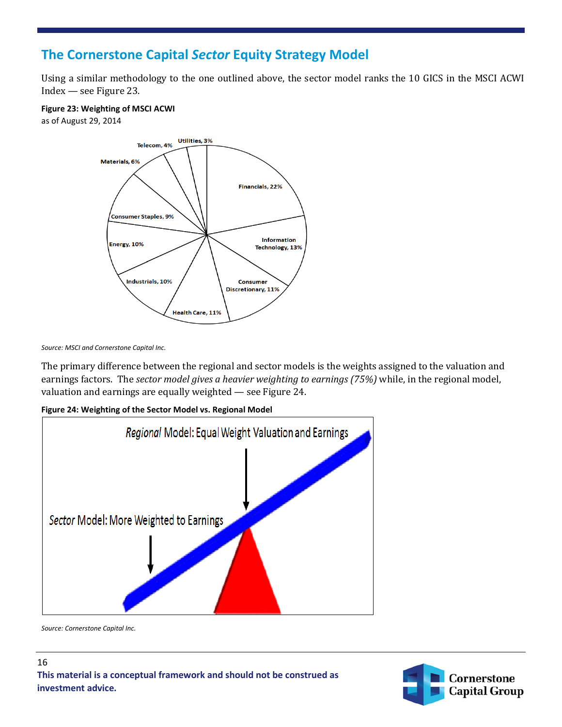#### **The Cornerstone Capital** *Sector* **Equity Strategy Model**

Using a similar methodology to the one outlined above, the sector model ranks the 10 GICS in the MSCI ACWI Index — see Figure 23.

**Figure 23: Weighting of MSCI ACWI**

as of August 29, 2014



*Source: MSCI and Cornerstone Capital Inc.*

The primary difference between the regional and sector models is the weights assigned to the valuation and earnings factors. The *sector model gives a heavier weighting to earnings (75%)* while, in the regional model, valuation and earnings are equally weighted — see Figure 24.

**Figure 24: Weighting of the Sector Model vs. Regional Model**



*Source: Cornerstone Capital Inc.* 

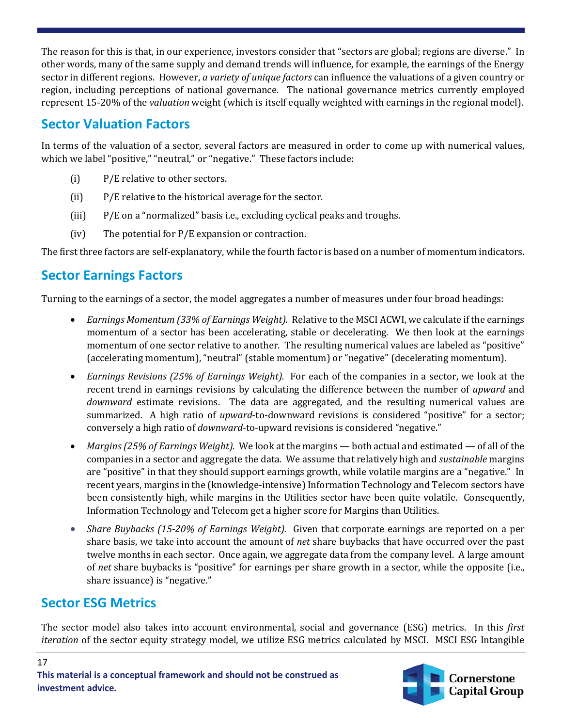The reason for this is that, in our experience, investors consider that "sectors are global; regions are diverse." In other words, many of the same supply and demand trends will influence, for example, the earnings of the Energy sector in different regions. However, *a variety of unique factors* can influence the valuations of a given country or region, including perceptions of national governance. The national governance metrics currently employed represent 15-20% of the *valuation* weight (which is itself equally weighted with earnings in the regional model).

#### **Sector Valuation Factors**

In terms of the valuation of a sector, several factors are measured in order to come up with numerical values, which we label "positive," "neutral," or "negative." These factors include:

- (i) P/E relative to other sectors.
- (ii) P/E relative to the historical average for the sector.
- (iii) P/E on a "normalized" basis i.e., excluding cyclical peaks and troughs.
- (iv) The potential for P/E expansion or contraction.

The first three factors are self-explanatory, while the fourth factor is based on a number of momentum indicators.

#### **Sector Earnings Factors**

Turning to the earnings of a sector, the model aggregates a number of measures under four broad headings:

- *Earnings Momentum (33% of Earnings Weight).* Relative to the MSCI ACWI, we calculate if the earnings momentum of a sector has been accelerating, stable or decelerating. We then look at the earnings momentum of one sector relative to another. The resulting numerical values are labeled as "positive" (accelerating momentum), "neutral" (stable momentum) or "negative" (decelerating momentum).
- *Earnings Revisions (25% of Earnings Weight).* For each of the companies in a sector, we look at the recent trend in earnings revisions by calculating the difference between the number of *upward* and *downward* estimate revisions. The data are aggregated, and the resulting numerical values are summarized. A high ratio of *upward*-to-downward revisions is considered "positive" for a sector; conversely a high ratio of *downward*-to-upward revisions is considered "negative."
- *Margins (25% of Earnings Weight).* We look at the margins both actual and estimated of all of the companies in a sector and aggregate the data. We assume that relatively high and *sustainable* margins are "positive" in that they should support earnings growth, while volatile margins are a "negative." In recent years, margins in the (knowledge-intensive) Information Technology and Telecom sectors have been consistently high, while margins in the Utilities sector have been quite volatile. Consequently, Information Technology and Telecom get a higher score for Margins than Utilities.
- *Share Buybacks (15-20% of Earnings Weight).* Given that corporate earnings are reported on a per share basis, we take into account the amount of *net* share buybacks that have occurred over the past twelve months in each sector. Once again, we aggregate data from the company level. A large amount of *net* share buybacks is "positive" for earnings per share growth in a sector, while the opposite (i.e., share issuance) is "negative."

#### **Sector ESG Metrics**

The sector model also takes into account environmental, social and governance (ESG) metrics. In this *first iteration* of the sector equity strategy model, we utilize ESG metrics calculated by MSCI. MSCI ESG Intangible

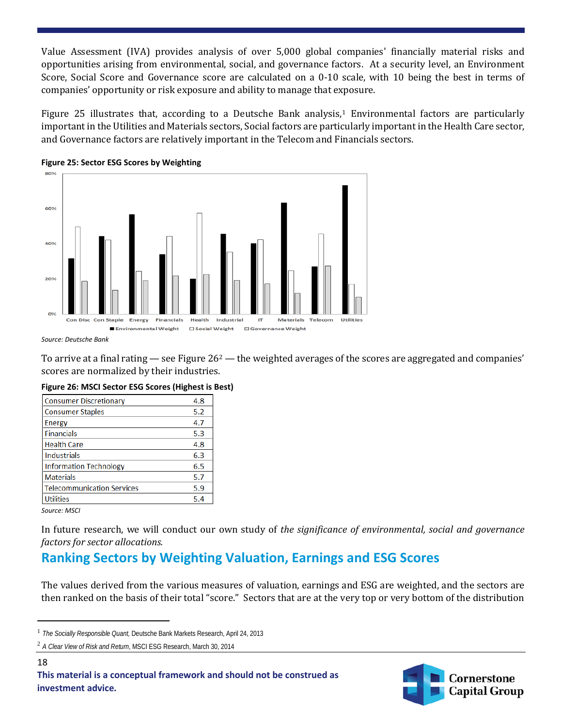Value Assessment (IVA) provides analysis of over 5,000 global companies' financially material risks and opportunities arising from environmental, social, and governance factors. At a security level, an Environment Score, Social Score and Governance score are calculated on a 0-10 scale, with 10 being the best in terms of companies' opportunity or risk exposure and ability to manage that exposure.

Figure 25 illustrates that, according to a Deutsche Bank analysis,<sup>[1](#page-17-0)</sup> Environmental factors are particularly important in the Utilities and Materials sectors, Social factors are particularly important in the Health Care sector, and Governance factors are relatively important in the Telecom and Financials sectors.





*Source: Deutsche Bank*

To arrive at a final rating — see Figure  $26^2$  $26^2$  — the weighted averages of the scores are aggregated and companies' scores are normalized by their industries.

| Figure 26: MSCI Sector ESG Scores (Highest is Best) |     |  |
|-----------------------------------------------------|-----|--|
| <b>Consumer Discretionary</b>                       | 4.8 |  |

| 4.8 |
|-----|
| 5.2 |
| 4.7 |
| 5.3 |
| 4.8 |
| 6.3 |
| 6.5 |
| 5.7 |
| 5.9 |
| 5.4 |
|     |

*Source: MSCI*

18

l

In future research, we will conduct our own study of *the significance of environmental, social and governance factors for sector allocations.*

## **Ranking Sectors by Weighting Valuation, Earnings and ESG Scores**

The values derived from the various measures of valuation, earnings and ESG are weighted, and the sectors are then ranked on the basis of their total "score." Sectors that are at the very top or very bottom of the distribution



<span id="page-17-0"></span><sup>1</sup> *The Socially Responsible Quant,* Deutsche Bank Markets Research, April 24, 2013

<span id="page-17-1"></span><sup>2</sup> *A Clear View of Risk and Return*, MSCI ESG Research, March 30, 2014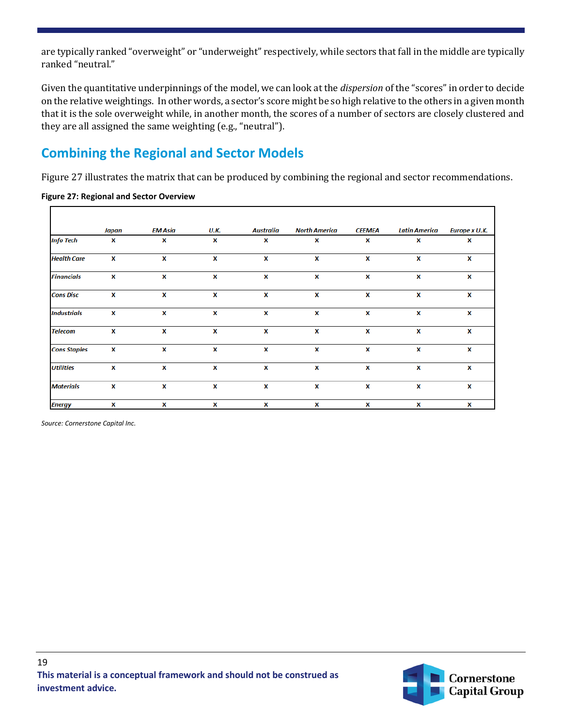are typically ranked "overweight" or "underweight" respectively, while sectors that fall in the middle are typically ranked "neutral."

Given the quantitative underpinnings of the model, we can look at the *dispersion* of the "scores" in order to decide on the relative weightings. In other words, a sector's score might be so high relative to the others in a given month that it is the sole overweight while, in another month, the scores of a number of sectors are closely clustered and they are all assigned the same weighting (e.g., "neutral").

## **Combining the Regional and Sector Models**

Figure 27 illustrates the matrix that can be produced by combining the regional and sector recommendations.

|                     | Japan | <b>EM Asia</b>     | <b>U.K.</b> | Australia | <b>North America</b> | <b>CEEMEA</b> | <b>Latin America</b> | Europe x U.K. |
|---------------------|-------|--------------------|-------------|-----------|----------------------|---------------|----------------------|---------------|
| <b>Info Tech</b>    | X     | x                  | X           | x         | x                    | x             | x                    | x             |
| <b>Health Care</b>  | X     | X                  | X           | X         | X                    | X             | x                    | X             |
| <b>Financials</b>   | X     | X                  | X           | X         | X                    | X             | X                    | x             |
| <b>Cons Disc</b>    | X     | $\pmb{\mathsf{x}}$ | x           | X         | X                    | X             | x                    | X             |
| <b>Industrials</b>  | X     | X                  | X           | x         | X                    | X             | x                    | x             |
| <b>Telecom</b>      | X     | x                  | X           | X         | X                    | X             | x                    | x             |
| <b>Cons Staples</b> | X     | X                  | X           | X         | X                    | X             | x                    | x             |
| <b>Utilities</b>    | X     | X                  | X           | X         | X                    | X             | X                    | X             |
| <b>Materials</b>    | X     | X                  | X           | X         | X                    | X             | x                    | X             |
| <b>Energy</b>       | X     | X                  | X           | X         | X                    | X             | x                    | X             |

**Figure 27: Regional and Sector Overview**